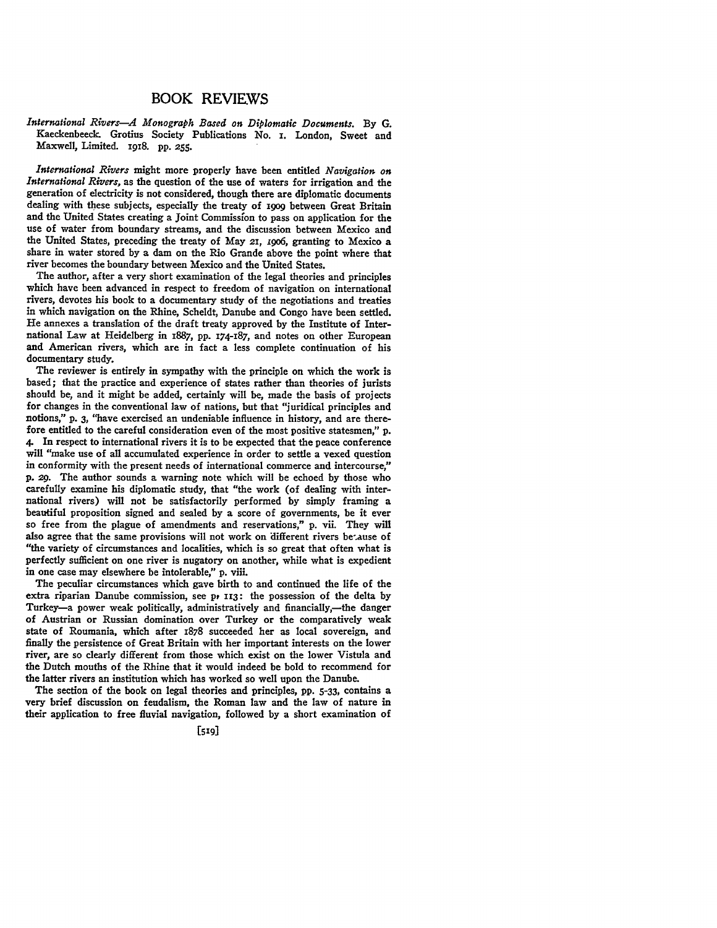## BOOK REVIEWS

*International Rivers-A Monograph Based on Diplomatic Documents.* **By G.** Kaeckenbeeck. Grotius Society Publications No. **i.** London, Sweet and Maxwell, Limited. 1918. **pp. 255.**

*International Rivers* might more properly have been entitled *Navigation on International Rivers,* as the question of the use of waters for irrigation and the generation of electricity is not considered, though there are diplomatic documents dealing with these subjects, especially the treaty of **19o9** between Great Britain and the United States creating a Joint Commission to pass on application for the use of water from boundary streams, and the discussion between Mexico and the United States, preceding the treaty of May **21, i9o6,** granting to Mexico a share in water stored **by** a dam on the Rio Grande above the point where that river becomes the boundary between Mexico and the United States.

The author, after a very short examination of the legal theories and principles which have been advanced in respect to freedom of navigation on international rivers, devotes his book to a documentary study of the negotiations and treaties in which navigation on the Rhine, Scheldt, Danube and Congo have been settled. He annexes a translation of the draft treaty approved **by** the Institute of International Law at Heidelberg in 1887, **pp.** 174-187, and notes on other European and American rivers, which are in fact a less complete continuation of his documentary study.

The reviewer is entirely in sympathy with the principle on which the work is based; that the practice and experience of states rather than theories of jurists should be, and it might be added, certainly will *be,* made the basis of projects for changes in the conventional law of nations, but that "juridical principles and notions," p. **3,** "have exercised an undeniable influence in history, and are therefore entitled to the careful consideration even of the most positive statesmen," **p.** 4. In respect to international rivers it is to be expected that the peace conference will "make use of all accumulated experience in order to settle a vexed question in conformity with the present needs of international commerce and intercourse," **p. 29.** The author sounds a warning note which will be echoed **by** those who carefully examine his diplomatic study, that "the work (of dealing with international rivers) will not be satisfactorily performed **by** simply framing a beautiful proposition signed and sealed **by** a score of governments, be it ever so free from the plague of amendments and reservations," **p.** vii. They will also agree that the same provisions will not work on different rivers be ause of "the variety of circumstances and localities, which is so great that often what is perfectly sufficient on one river is nugatory on another, while what is expedient in one case may elsewhere be intolerable," **p.** viii.

The peculiar circumstances which gave birth to and continued the life of the extra riparian Danube commission, see **pp 113:** the possession of the delta **by** Turkey-a power weak politically, administratively and financially,-the danger of Austrian or Russian domination over Turkey or the comparatively weak state of Roumania, which after 1878 succeeded her as local sovereign, and finally the persistence of Great Britain with her important interests on the lower river, are so clearly different from those which exist on the lower Vistula and the Dutch mouths of the Rhine that it would indeed be bold to recommend for the latter rivers an institution which has worked so well upon the Danube.

The section of the book on legal theories and principles, pp. **5-33,** contains a very brief discussion on feudalism, the Roman law and the law of nature in their application to free fluvial navigation, followed **by** a short examination of

[59]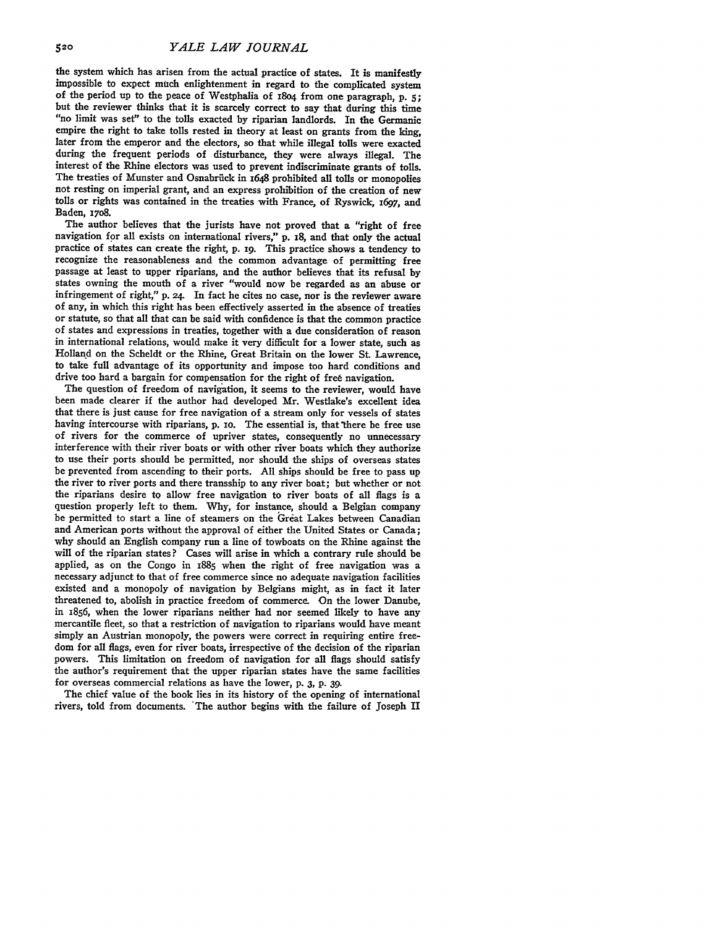the system which has arisen from the actual practice of states. It is manifestly impossible to expect much enlightenment in regard to the complicated system of the period up to the peace of Westphalia of i8o4 from one paragraph, **p. 5;** but the reviewer thinks that it is scarcely correct to say that during this time "no limit was set" to the tolls exacted **by** riparian landlords. In the Germanic empire the right to take tolls rested in theory at least on grants from the king, later from the emperor and the electors, so that while illegal tolls were exacted during the frequent periods of disturbance, they were always illegal. The interest of the Rhine electors was used to prevent indiscriminate grants of tolls. The treaties of Munster and Osnabrück in 1648 prohibited all tolls or monopolies not resting on imperial grant, and an express prohibition of the creation of new tolls or rights was contained in the treaties with France, of Ryswick, *1697,* and Baden, **i7o8.**

The author believes that the jurists have not proved that a "right of free navigation for all exists on international rivers," **p.** 18, and that only the actual practice of states can create the right, **p. i9.** This practice shows a tendency to recognize the reasonableness and the common advantage of permitting free passage at least to upper riparians, and the author believes that its refusal **by** infringement of right," p. 24. In fact he cites no case, nor is the reviewer aware<br>of any, in which this right has been effectively asserted in the absence of treaties<br>or statute, so that all that can be said with confiden of states and expressions in treaties, together with a due consideration of reason<br>in international relations, would make it very difficult for a lower state, such as<br>Holland on the Scheldt or the Rhine, Great Britain on t to take full advantage of its opportunity and impose too hard conditions and drive too hard a bargain for compensation for the right of free navigation.

The question of freedom of navigation, it seems to the reviewer, would have been made clearer if the author had developed Mr. Westlake's excellent idea that there is just cause for free navigation of a stream only for vessels of states having intercourse with riparians, p. 10. The essential is, that there be free use of rivers for the commerce of upriver states, consequently no unnecessary interference with their river boats or with other river boats which they authorize to use their ports should be permitted, nor should the ships of overseas states be prevented from ascending to their ports. **All** ships should be free to pass up the river to river ports and there transship to any river boat; but whether or not the riparians desire to allow free navigation to river boats of all flags is a question properly left to them. **Why,** for instance, should a Belgian company be permitted to start a line of steamers on the Great Lakes between Canadian and American ports without the approval of either the United States or Canada; why should an English company run a line of towboats on the Rhine against the will of the riparian states? Cases will arise in which a contrary rule should be applied, as on the Congo in 1885 when the right of free navigation was a necessary adjunct to that of free commerce since no adequate navigation facilities existed and a monopoly of navigation **by** Belgians might, as in fact it later threatened to, abolish in practice freedom of commerce. On the lower Danube, in 1856, when the lower riparians neither had nor seemed likely to have any mercantile fleet, so that a restriction of navigation to riparians would have meant simply an Austrian monopoly, the powers were correct in requiring entire freedom for all flags, even for river boats, irrespective of the decision of the riparian powers. This limitation on freedom of navigation for all flags should satisfy the author's requirement that the upper riparian states have the same facilities for overseas commercial relations as have the lower, p. **3,** P. **39.**

The chief value of the book lies in its history of the opening of international rivers, told from documents. 'The author begins with the failure of Joseph II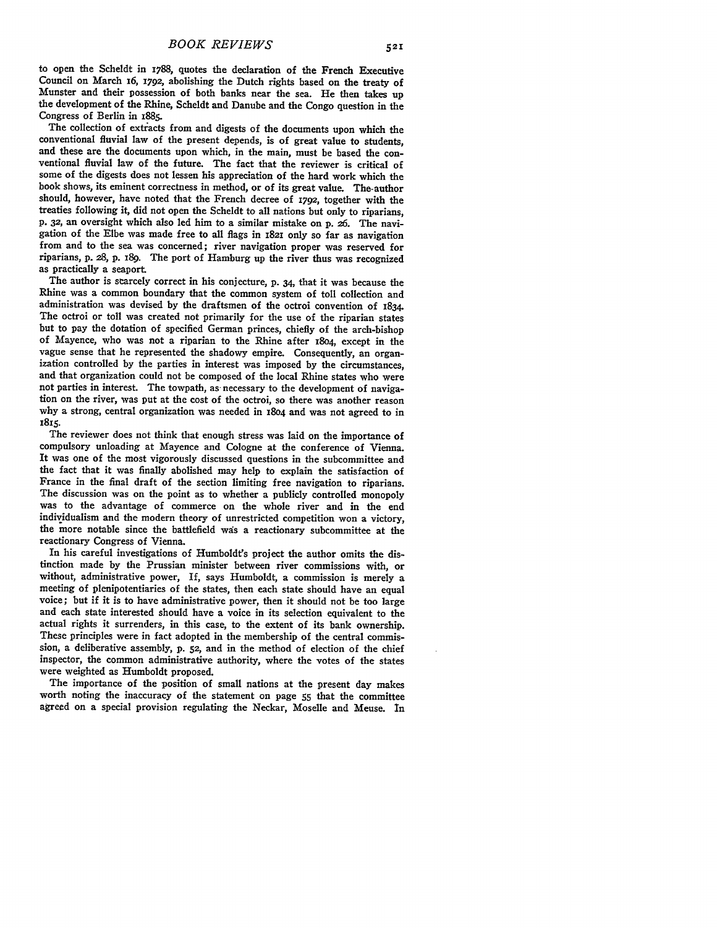to open the Scheldt in i788, quotes the declaration of the French Executive Council on March **i6, 1792,** abolishing the Dutch rights based on the treaty of Munster and their possession of both banks near the sea. He then takes up the development of the Rhine, Scheldt and Danube and the Congo question in the Congress of Berlin in i885.

The collection of extiacts from and digests of the documents upon which the conventional fluvial law of the present depends, is of great value to students, and these are the documents upon which, in the main, must be based the conventional fluvial law of the future. The fact that the reviewer is critical of some of the digests does not lessen his appreciation of the hard work book shows, its eminent correctness in method, or of its great value. The-author should, however, have noted that the French decree of **1792,** together with the treaties following it, did not open the Scheldt to all nations but only to riparians, **p. 32,** an oversight which also led him to a similar mistake on **p.** *26.* The navigation of the Elbe was made free to all flags in 1821 only so far as navigation from and to the sea was concerned; river navigation proper was reserved for riparians, p. 28, p. 189. The port of Hamburg up the river thus was recognized as practically a seaport.

The author is scarcely correct in his conjecture, **p. 34,** that it was because the Rhine was a common boundary that the common system of toll collection and administration was devised **by** the draftsmen of the octroi convention of 1834. The octroi or toll was created not primarily for the use of the riparian states but to pay the dotation of specified German princes, chiefly of the arch-bishop of Mayence, who was not a riparian to the Rhine after i8o4, except in the vague sense that he represented the shadowy empire. Consequently, an organization controlled **by** the parties in interest was imposed **by** the circumstances, not parties in interest. The towpath, as necessary to the development of navigation on the river, was put at the cost of the octroi, so there was another reason why a strong, central organization was needed in **i8o4** and was not agreed to in 1815.

The reviewer does not think that enough stress was laid on the importance of compulsory unloading at Mayence and Cologne at the conference of Vienna. It was one of the most vigorously discussed questions in the subcommittee and the fact that it was finally abolished may help to explain the satisfaction of France in the final draft of the section limiting free navigation to riparians. The discussion was on the point as to whether a publicly controlled monopoly was to the advantage of commerce on the whole river and in the end individualism and the modern theory of unrestricted competition won a victory, the more notable since the battlefield wais a reactionary subcommittee at the reactionary Congress of Vienna.

In his careful investigations of Humboldt's project the author omits the distinction made by the Prussian minister between river commissions with, or without, administrative power, If, says Humboldt, a commission is merely a meeting of plenipotentiaries of the states, then each state should have a voice; but if it is to have administrative power, then it should not be too large and each state interested should have a voice in its selection equivalent to the actual rights it surrenders, in this case, to the extent of its bank ownership. These principles were in fact adopted in the membership of the central commission, a deliberative assembly, **p. 52,** and in the method of election of the chief inspector, the common administrative authority, where the votes of the states were weighted as Humboldt proposed.

The importance of the position of small nations at the present day makes worth noting the inaccuracy of the statement on page 55 that the committee agreed on a special provision regulating the Neckar, Moselle and Meuse. In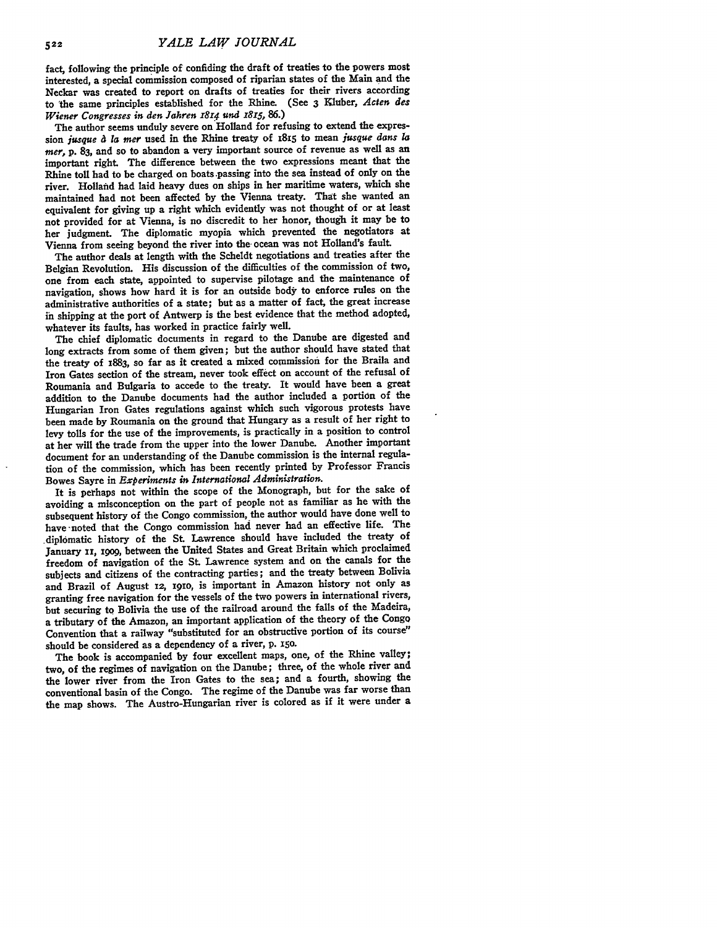fact, following the principle of confiding the draft of treaties to the powers most interested, a special commission composed of riparian states of the Main and the Neckar was created to report on drafts of treaties for their rivers according to 'the same principles established for the Rhine. (See **3** Kluber, *Acten des Wiener Congresses in den Jahren* 18x4 *und z815, 86.)*

The author seems unduly severe on Holland for refusing to extend the expression *jusque à la mer* used in the Rhine treaty of 1815 to mean *jusque dans la mer,* **p.** 83, and so to abandon a very important source of revenue as well as an important right. The difference between the two expressions meant that the Rhine toll had to be charged on boats passing into the sea instead of only on the river. Hollanid had laid heavy dues on ships in her maritime waters, which she maintained had not been affected **by** the Vienna treaty. That she wanted an equivalent for giving up a right which evidently was not thought of or at least not provided for at Vienna, is no discredit to her honor, though it may be to her judgment. The diplomatic myopia which prevented the negotiators at Vienna from seeing beyond the river into the. ocean was not Holland's fault.

The author deals at length with the Scheldt negotiations and treaties after the Belgian Revolution. His discussion of the difficulties of the commission of two, one from each state, appointed to supervise pilotage and the maintenance of navigation, shows how hard it is for an outside body' to enforce rules on the administrative authorities of a state; but as a matter of fact, the great increase in shipping at the port of Antwerp is the best evidence that the method adopted, whatever its faults, has worked in practice fairly well.

The chief diplomatic documents in regard to the Danube are digested and long extracts from some of them given; but the author should have stated that the treaty of 1883, so far as it created a mixed commission for the Braila and Iron Gates section of the stream, never took effect on account of the refusal of Roumania and Bulgaria to accede to the treaty. It would have been a great addition to the Danube documents had the author included a portion of the Hungarian Iron Gates regulations against which such vigorous protests have been made **by** Roumania on the ground that Hungary as a result of her right to levy tolls for the use of the improvements, is practically in a position to control at her will the trade from the upper into the lower Danube. Another important document for an understanding of the Danube commission is the internal regulation of the commission, which has been recently printed **by** Professor Francis Bowes Sayre in *Experiments in International Administration.*

It is perhaps not within the scope of the Monograph, but for the sake of avoiding a misconception on the part of people not as familiar as he with the subsequent history of the Congo commission, the author would have done well to have-noted that the Congo commission had never had an effective life. The diplomatic history of the **St.** Lawrence should have included the treaty of January *xi,* i9og, between the United States and Great Britain which proclaimed freedom of navigation of the St. Lawrence system and on the canals for the subjects and citizens of the contracting parties; and the treaty between Bolivia and Brazil of August **12, ipio,** is important in Amazon history not only as granting free navigation for the vessels of the two powers in international rivers, but securing to Bolivia the use of the railroad around the falls of the Madeira, a tributary of the Amazon, an important application of the theory of the Congo Convention that a railway "substituted for an obstructive portion of its course" should be considered as a dependency of a river, **p. i50.**

The book is accompanied **by** four excellent maps, one, **of** the Rhine valley; two, of the regimes of navigation on the Danube; three, of the whole river and the lower river from the Iron Gates to the sea; and a fourth, showing the conventional basin of the Congo. The regime of the Danube was far worse than the map shows. The Austro-Hungarian river is colored as if it were under a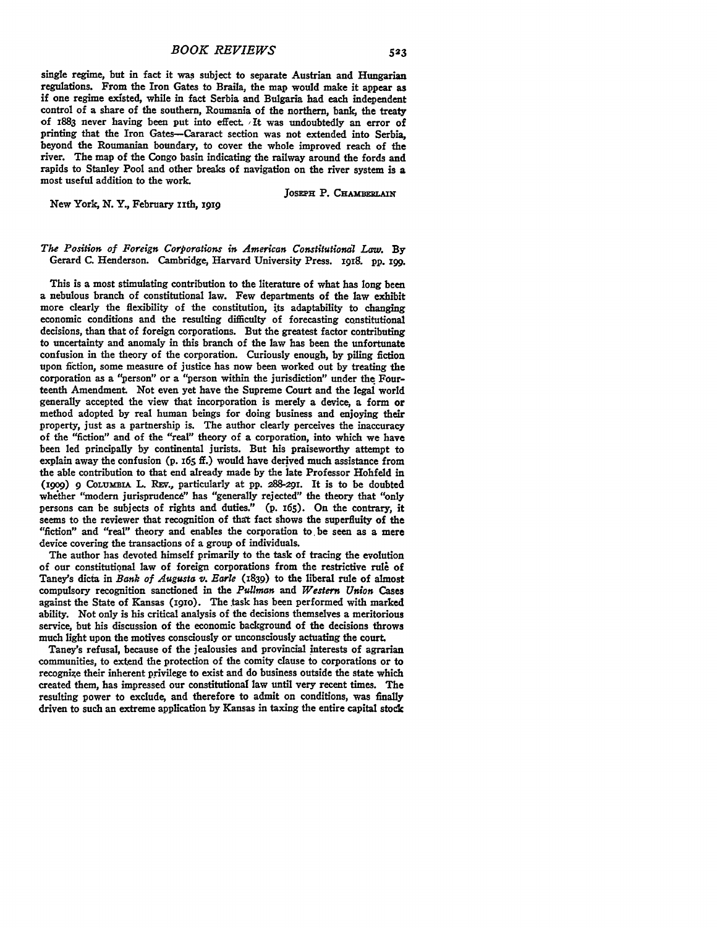*BOOK REVIEWS*

single regime, but in fact it was subject to separate Austrian and Hungarian regulations. From the Iron Gates to Braila, the map would make it appear as if one regime existed, while in fact Serbia and Bulgaria had each independent control of a share of the southern, Roumania of the northern, bank, the treaty of 1883 never having been put into effect. 'It was undoubtedly an error of printing that the Iron Gates-Cararact section was not extended into Serbia, beyond the **Roumanian** boundary, to cover the whole improved reach of the river. The map of the Congo basin indicating the railway around the fords and rapids to Stanley Pool and other breaks of navigation on the river system is a most useful addition to the work.

New York, **N.** Y., February **xxth, 1919**

**JOSEPH P. CHAMBERLAIN** 

## *The Position of Foreign Corporations in American Constitutiondl Law.* **By** Gerard C. Henderson. Cambridge, Harvard University Press. 1918. pp. 199.

This is a most stimulating contribution to the literature of what has long been a nebulous branch of constitutional law. Few departments of the law exhibit more clearly the flexibility of the constitution, its adaptability to changing economic conditions and the resulting difficulty of forecasting constitutional decisions, than that of foreign corporations. But the greatest factor contributing to uncertainty and anomaly in this branch of the law has been the unfortunate confusion in the theory of the corporation. Curiously enough, **by** piling fiction upon fiction, some measure of justice has now been worked out **by** treating the corporation as a "person" or a "person within the jurisdiction" under the Fourteenth Amendment. Not even yet have the Supreme Court and the legal world generally accepted the view that incorporation is merely a device, a form or method adopted **by** real human beings for doing business and enjoying their property, just as a partnership is. The author clearly perceives the inaccuracy of the "fiction" and of the "real" theory of a corporation, into which we have been led principally **by** continental jurists. But his praiseworthy attempt to explain away the confusion **(p.** i65 **ff.)** would have derived much assistance from the able contribution to that end already made **by** the late Professor Hohfeld in *(igog)* **9 CoLUmmBA L** Rnv., particularly at **pp. 288-291.** It is to **be** doubted whether "modern jurisprudence" has "generally rejected" the theory that "only persons can be subjects of rights and duties." **(p. i65).** On the contrary, it seems to the reviewer that recognition of that fact shows the superfluity of the "fiction" and "real" theory and enables the corporation to be seen as a mere device covering the transactions of a group of individuals.

The author has devoted himself primarily to the task of tracing the evolution of our constitutional law of foreign corporations from the restrictive ruli of Taney's dicta in *Bank of Augusta v. Earle* **(1839)** to the liberal rule of almost compulsory recognition sanctioned in the *Pullman* and *Western Union* Cases against the State of Kansas (1910). The task has been performed with marked ability. Not only is his critical analysis of the decisions themselves a meritorious service, but his discussion of the economic background of the decisions throws much light upon the motives consciously or unconsciously actuating the court.

Taney's refusal, because of the jealousies and provincial interests of agrarian communities, to extend the protection of the comity clause to corporations or to recognize their inherent privilege to exist and do business outside the state which created them, has impressed our constitutional law until very recent times. The resulting power to exclude, and therefore to admit on conditions, was finally driven to such an extreme application **by** Kansas in taxing the entire capital stock